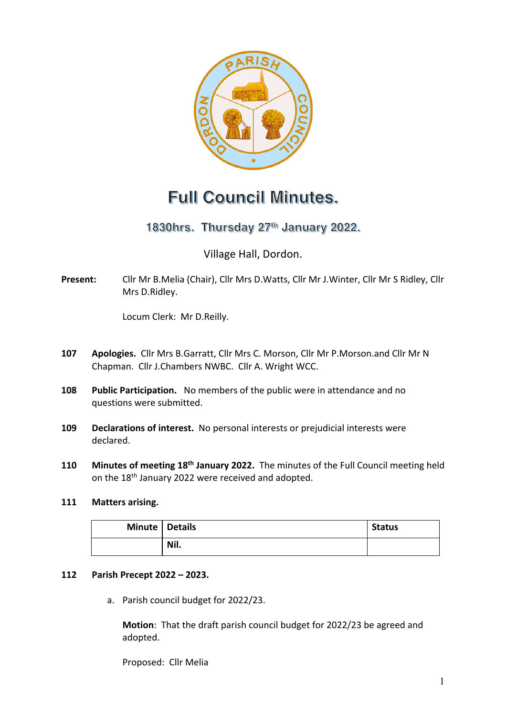

# **Full Council Minutes.**

1830hrs. Thursday 27<sup>th</sup> January 2022.

Village Hall, Dordon.

**Present:** Cllr Mr B.Melia (Chair), Cllr Mrs D.Watts, Cllr Mr J.Winter, Cllr Mr S Ridley, Cllr Mrs D.Ridley.

Locum Clerk: Mr D.Reilly.

- **107 Apologies.** Cllr Mrs B.Garratt, Cllr Mrs C. Morson, Cllr Mr P.Morson.and Cllr Mr N Chapman. Cllr J.Chambers NWBC. Cllr A. Wright WCC.
- **108 Public Participation.** No members of the public were in attendance and no questions were submitted.
- **109 Declarations of interest.** No personal interests or prejudicial interests were declared.
- **110 Minutes of meeting 18th January 2022.** The minutes of the Full Council meeting held on the 18<sup>th</sup> January 2022 were received and adopted.

## **111 Matters arising.**

| Minute   Details |      | <b>Status</b> |
|------------------|------|---------------|
|                  | Nil. |               |

## **112 Parish Precept 2022 – 2023.**

a. Parish council budget for 2022/23.

**Motion**: That the draft parish council budget for 2022/23 be agreed and adopted.

Proposed: Cllr Melia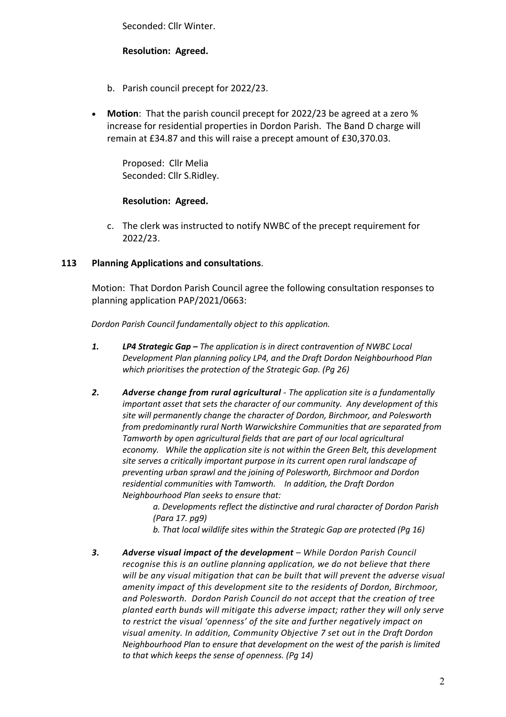Seconded: Cllr Winter.

### **Resolution: Agreed.**

- b. Parish council precept for 2022/23.
- **Motion**: That the parish council precept for 2022/23 be agreed at a zero % increase for residential properties in Dordon Parish. The Band D charge will remain at £34.87 and this will raise a precept amount of £30,370.03.

Proposed: Cllr Melia Seconded: Cllr S.Ridley.

### **Resolution: Agreed.**

c. The clerk was instructed to notify NWBC of the precept requirement for 2022/23.

### **113 Planning Applications and consultations**.

Motion: That Dordon Parish Council agree the following consultation responses to planning application PAP/2021/0663:

*Dordon Parish Council fundamentally object to this application.*

- *1. LP4 Strategic Gap – The application is in direct contravention of NWBC Local Development Plan planning policy LP4, and the Draft Dordon Neighbourhood Plan which prioritises the protection of the Strategic Gap. (Pg 26)*
- *2. Adverse change from rural agricultural - The application site is a fundamentally important asset that sets the character of our community. Any development of this site will permanently change the character of Dordon, Birchmoor, and Polesworth from predominantly rural North Warwickshire Communities that are separated from Tamworth by open agricultural fields that are part of our local agricultural economy. While the application site is not within the Green Belt, this development site serves a critically important purpose in its current open rural landscape of preventing urban sprawl and the joining of Polesworth, Birchmoor and Dordon residential communities with Tamworth. In addition, the Draft Dordon Neighbourhood Plan seeks to ensure that:*

*a. Developments reflect the distinctive and rural character of Dordon Parish (Para 17. pg9)*

*b. That local wildlife sites within the Strategic Gap are protected (Pg 16)* 

*3. Adverse visual impact of the development – While Dordon Parish Council recognise this is an outline planning application, we do not believe that there will be any visual mitigation that can be built that will prevent the adverse visual amenity impact of this development site to the residents of Dordon, Birchmoor, and Polesworth. Dordon Parish Council do not accept that the creation of tree planted earth bunds will mitigate this adverse impact; rather they will only serve to restrict the visual 'openness' of the site and further negatively impact on visual amenity. In addition, Community Objective 7 set out in the Draft Dordon Neighbourhood Plan to ensure that development on the west of the parish is limited to that which keeps the sense of openness. (Pg 14)*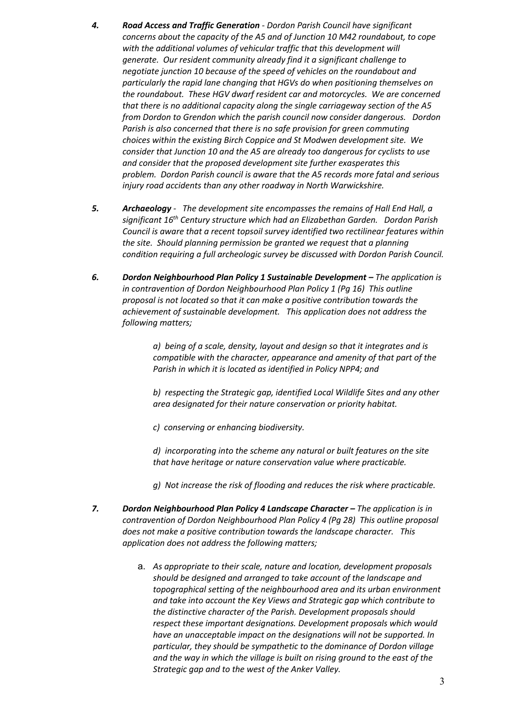- *4. Road Access and Traffic Generation - Dordon Parish Council have significant concerns about the capacity of the A5 and of Junction 10 M42 roundabout, to cope with the additional volumes of vehicular traffic that this development will generate. Our resident community already find it a significant challenge to negotiate junction 10 because of the speed of vehicles on the roundabout and particularly the rapid lane changing that HGVs do when positioning themselves on the roundabout. These HGV dwarf resident car and motorcycles. We are concerned that there is no additional capacity along the single carriageway section of the A5 from Dordon to Grendon which the parish council now consider dangerous. Dordon Parish is also concerned that there is no safe provision for green commuting choices within the existing Birch Coppice and St Modwen development site. We consider that Junction 10 and the A5 are already too dangerous for cyclists to use and consider that the proposed development site further exasperates this problem. Dordon Parish council is aware that the A5 records more fatal and serious injury road accidents than any other roadway in North Warwickshire.*
- *5. Archaeology The development site encompasses the remains of Hall End Hall, a significant 16th Century structure which had an Elizabethan Garden. Dordon Parish Council is aware that a recent topsoil survey identified two rectilinear features within the site. Should planning permission be granted we request that a planning condition requiring a full archeologic survey be discussed with Dordon Parish Council.*
- *6. Dordon Neighbourhood Plan Policy 1 Sustainable Development – The application is in contravention of Dordon Neighbourhood Plan Policy 1 (Pg 16) This outline proposal is not located so that it can make a positive contribution towards the achievement of sustainable development. This application does not address the following matters;*

*a) being of a scale, density, layout and design so that it integrates and is compatible with the character, appearance and amenity of that part of the Parish in which it is located as identified in Policy NPP4; and* 

*b) respecting the Strategic gap, identified Local Wildlife Sites and any other area designated for their nature conservation or priority habitat.* 

*c) conserving or enhancing biodiversity.*

*d) incorporating into the scheme any natural or built features on the site that have heritage or nature conservation value where practicable.*

- *g) Not increase the risk of flooding and reduces the risk where practicable.*
- *7. Dordon Neighbourhood Plan Policy 4 Landscape Character – The application is in contravention of Dordon Neighbourhood Plan Policy 4 (Pg 28) This outline proposal does not make a positive contribution towards the landscape character. This application does not address the following matters;* 
	- a. *As appropriate to their scale, nature and location, development proposals should be designed and arranged to take account of the landscape and topographical setting of the neighbourhood area and its urban environment and take into account the Key Views and Strategic gap which contribute to the distinctive character of the Parish. Development proposals should respect these important designations. Development proposals which would have an unacceptable impact on the designations will not be supported. In particular, they should be sympathetic to the dominance of Dordon village and the way in which the village is built on rising ground to the east of the Strategic gap and to the west of the Anker Valley.*